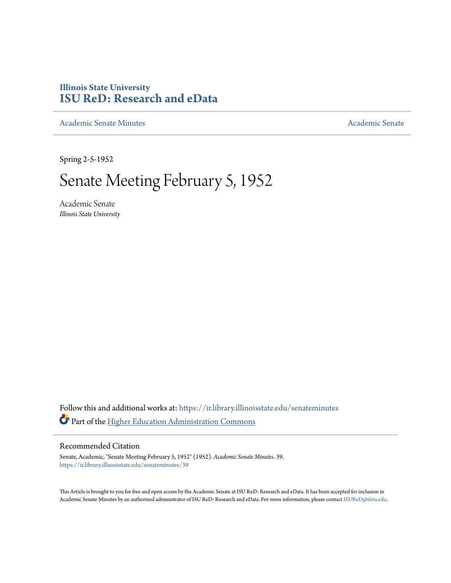## **Illinois State University [ISU ReD: Research and eData](https://ir.library.illinoisstate.edu?utm_source=ir.library.illinoisstate.edu%2Fsenateminutes%2F39&utm_medium=PDF&utm_campaign=PDFCoverPages)**

[Academic Senate Minutes](https://ir.library.illinoisstate.edu/senateminutes?utm_source=ir.library.illinoisstate.edu%2Fsenateminutes%2F39&utm_medium=PDF&utm_campaign=PDFCoverPages) [Academic Senate](https://ir.library.illinoisstate.edu/senate?utm_source=ir.library.illinoisstate.edu%2Fsenateminutes%2F39&utm_medium=PDF&utm_campaign=PDFCoverPages) Academic Senate

Spring 2-5-1952

## Senate Meeting February 5, 1952

Academic Senate *Illinois State University*

Follow this and additional works at: [https://ir.library.illinoisstate.edu/senateminutes](https://ir.library.illinoisstate.edu/senateminutes?utm_source=ir.library.illinoisstate.edu%2Fsenateminutes%2F39&utm_medium=PDF&utm_campaign=PDFCoverPages) Part of the [Higher Education Administration Commons](http://network.bepress.com/hgg/discipline/791?utm_source=ir.library.illinoisstate.edu%2Fsenateminutes%2F39&utm_medium=PDF&utm_campaign=PDFCoverPages)

## Recommended Citation

Senate, Academic, "Senate Meeting February 5, 1952" (1952). *Academic Senate Minutes*. 39. [https://ir.library.illinoisstate.edu/senateminutes/39](https://ir.library.illinoisstate.edu/senateminutes/39?utm_source=ir.library.illinoisstate.edu%2Fsenateminutes%2F39&utm_medium=PDF&utm_campaign=PDFCoverPages)

This Article is brought to you for free and open access by the Academic Senate at ISU ReD: Research and eData. It has been accepted for inclusion in Academic Senate Minutes by an authorized administrator of ISU ReD: Research and eData. For more information, please contact [ISUReD@ilstu.edu.](mailto:ISUReD@ilstu.edu)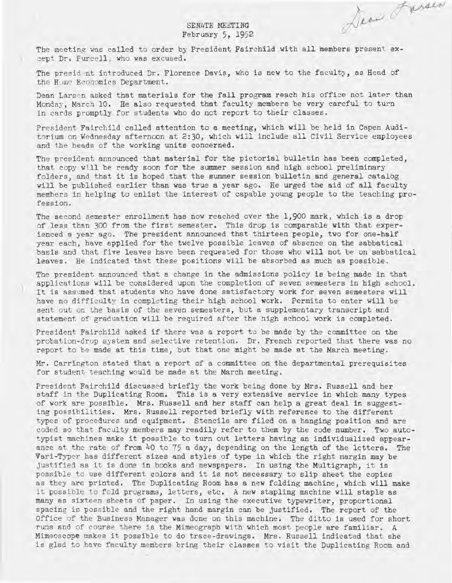SENATE MEETING February 5, 1952 Dear Frence

The meeting was called to order by President Fairchild with all members present except Dr. Purcell, who was excused.

The presid nt introduced Dr. Florence Davis, who is new to the faculty, as Head of the Hume Economics Department.

Dean Larsen asked that materials for the fall program reach his office not later than Monday, March 10. He also requested that faculty members be very careful to turn in cards promptly for students who do not report to their classes.

President Fairchild called attention to a meeting, which will be held in Capen Auditorium on Wednesday afternoon at 2:30, which will include all Civil Service employees and the heads of the working units concerned.

The president announced that material for the pictorial bulletin has been completed, that copy will be ready soon for the summer session and high school preliminary folders, and that it is hoped that the summer session bulletin and general catalog will be published earlier than was true a year ago. He urged the aid of all faculty members in helping to enlist the interest of capable young people to the teaching profession.

The second semester enrollment has now reached over the 1,900 mark, which is a drop of less than 300 from the first semester. This drop is comparable with that experienced a year ago. The president announced that thirteen people, two for one-half year each, have applied for the twelve possible leaves of absence on the sabbatical basis and that five leaves have been requested for those who will not be on sabbatical leaves. He indicated that these positions will be absorbed as much as possible.

The president announced that a change in the admissions policy is being made in that applications will be considered upon the completion of seven semesters in high school. It is assumed that students who have done satisfactory work for seven semesters will have no difficulty in completing their high school work. Permits to enter will be sent out on the basis of the seven semesters, but a supplementary transcript and statement of graduation will be required after the high school work is completed.

President Fairchild asked if there was a report to be made by the committee on the probation-drop system and selective retention. Dr. French reported that there was no report to be made at this time, but that one might be made at the March meeting.

Mr. Carrington stated that a report of a committee on the departmental prerequisites for student teaching would be made at the March meeting.

President Fairchild discussed briefly the work being done by Mrs. Russell and her staff in the Duplicating Room. This is a very extensive service in which many types of work are possible. Mrs. Russell and her staff can help a great deal in suggesting possibilities. Mrs. Russell reported briefly with reference to the different types of procedures and equipment. Stencils are filed on a hanging position and are coded so that faculty members may readily refer to them by the code number. Two autotypist machines make it possible to turn out letters having an individualized appearance at the rate of from 40 to 75 a day, depending on the length of the letters. The Vari-Typer has different sizes and styles of type in which the right margin may be justified as it is done in books and newspapers. In using the Multigraph, it is possible to use different colors and it is not necessary to slip sheet the copies as they are printed. The Duplicating Room has a new folding machine, which will make it possible to fold programs, letters, etc. A new stapling machine will staple as many as sixteen sheets of paper. In using the executive typewriter, proportional spacing is possible and the right hand margin can be justified. The report of the Office of the Business Manager was done on this machine. The ditto is used for short runs and of course there is the Mimeograph with' which most people are familiar. A Mimeoscope makes it possible to do trace-drawings. Mrs. Russell indicated that she is glad to have faculty members bring their classes to visit the Duplicating Room and